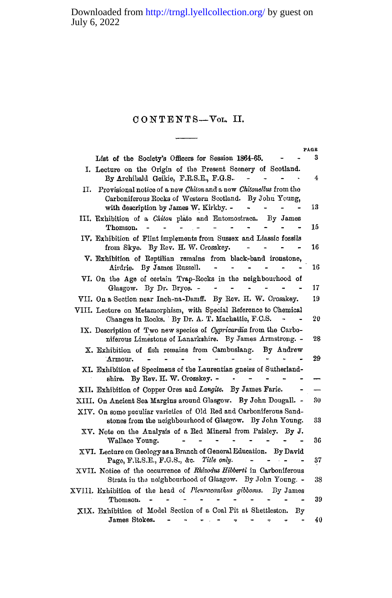## **CONTENTS—YOL . II.**

|                                                                                                                                                                              | PAGE |
|------------------------------------------------------------------------------------------------------------------------------------------------------------------------------|------|
| List of the Society's Officers for Session 1864-65.                                                                                                                          | 3    |
| I. Lecture on the Origin of the Present Scenery of Scotland.<br>By Archibald Geikie, F.R.S.E., F.G.S.                                                                        | 4    |
| Provisional notice of a new Chiton and a new Chitonellus from the<br>П.<br>Carboniferous Rocks of Western Scotland. By John Young,<br>with description by James W. Kirkby. - | 13   |
| III. Exhibition of a <i>Chiton</i> plate and Entomostraca. By James<br>Thomson.                                                                                              | 15   |
| IV. Exhibition of Flint implements from Sussex and Liassic fossils<br>from Skye. By Rev. H. W. Crosskey.                                                                     | 16   |
| V. Exhibition of Reptilian remains from black-band ironstone,<br>Airdrie. By James Russell.                                                                                  | 16   |
| VI. On the Age of certain Trap-Rocks in the neighbourhood of<br>Glasgow. By Dr. Bryce. -                                                                                     | 17   |
| VII. On a Section near Inch-na-Damff. By Rev. H. W. Crosskey.                                                                                                                | 19   |
| VIII. Lecture on Metamorphism, with Special Reference to Chemical<br>Changes in Rocks. By Dr. A. T. Machattie, F.C.S.                                                        | 20   |
| IX. Description of Two new species of Cypricardia from the Carbo-<br>niferous Limestone of Lanarkshire. By James Armstrong. -                                                | 28   |
| X. Exhibition of fish remains from Cambuslang.<br>By Andrew<br>Armour.                                                                                                       | 29   |
| XI. Exhibition of Specimens of the Laurentian gneiss of Sutherland-<br>By Rev. H. W. Crosskey. -<br>shire.                                                                   |      |
| XII. Exhibition of Copper Ores and Langite. By James Farie.                                                                                                                  |      |
| XIII. On Ancient Sea Margins around Glasgow. By John Dougall. -<br>XIV. On some peculiar varieties of Old Red and Carboniferous Sand-                                        | 30   |
| stones from the neighbourhood of Glasgow. By John Young.<br>XV. Note on the Analysis of a Red Mineral from Paisley. By J.                                                    | 33   |
| Wallace Young.                                                                                                                                                               | 36   |
| XVI. Lecture on Geology as a Branch of General Education. By David<br>Page, F.R.S.E., F.G.S., &c. Title only.                                                                | 37   |
| XVII. Notice of the occurrence of Rhizodus Hibberti in Carboniferous<br>Strata in the neighbourhood of Glasgow. By John Young. -                                             | 38   |
| XVIII. Exhibition of the head of Pleuracanthus gibbosus.<br>By James<br>Thomson.                                                                                             | 39   |
| XIX. Exhibition of Model Section of a Coal Pit at Shettleston.<br>By<br>$James Stokes. - - - - -$                                                                            | 40   |

**Jame s Stokes. - - - •? - - - 40**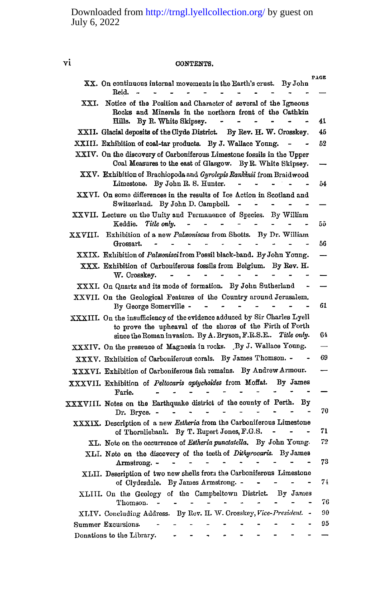# **vi CONTENTS.**

|         | XX. On continuous internal movements in the Earth's crust.<br>By John                                                                                                                                 | PAGE |
|---------|-------------------------------------------------------------------------------------------------------------------------------------------------------------------------------------------------------|------|
| XXI.    | Reid.<br>Notice of the Position and Character of several of the Igneous<br>Rocks and Minerals in the northern front of the Cathkin                                                                    |      |
|         | Hills.<br>By R. White Skipsey.                                                                                                                                                                        | 41   |
|         | XXII. Glacial deposits of the Clyde District.<br>By Rev. H. W. Crosskey.                                                                                                                              | 45   |
|         | XXIII. Exhibition of coal-tar products. By J. Wallace Young.                                                                                                                                          | 52   |
|         | XXIV. On the discovery of Carboniferous Limestone fossils in the Upper<br>Coal Measures to the east of Glasgow. By R. White Skipsey.                                                                  |      |
|         | XXV. Exhibition of Brachiopoda and <i>Gyrolepis Rankinii</i> from Braidwood<br>By John R. S. Hunter.<br>Limestone.                                                                                    | 54   |
|         | XXVI. On some differences in the results of Ice Action in Scotland and<br>Switzerland. By John D. Campbell.<br>$\overline{\phantom{a}}$                                                               |      |
|         | XXVII. Lecture on the Unity and Permanence of Species. By William<br>Keddie.<br>Title only.                                                                                                           | 55   |
| XXVIII. | Exhibition of a new Palaoniscus from Shotts. By Dr. William<br>Grossart.                                                                                                                              | 56   |
|         | XXIX. Exhibition of Palmonisci from Possil black-band. By John Young.                                                                                                                                 |      |
|         | XXX. Exhibition of Carboniferous fossils from Belgium. By Rev. H.<br>W. Crosskey.                                                                                                                     |      |
|         | XXXI. On Quartz and its mode of formation. By John Sutherland                                                                                                                                         |      |
|         | XXVII. On the Geological Features of the Country around Jerusalem.<br>By George Somerville -                                                                                                          | 61   |
|         | XXXIII. On the insufficiency of the evidence adduced by Sir Charles Lyell<br>to prove the upheaval of the shores of the Firth of Forth<br>since the Roman invasion. By A. Bryson, F.R.S.E Title only. | 64   |
|         | XXXIV. On the presence of Magnesia in rocks. By J. Wallace Young.                                                                                                                                     |      |
|         | XXXV. Exhibition of Carboniferous corals. By James Thomson. -                                                                                                                                         | 69   |
|         | XXXVI. Exhibition of Carboniferous fish remains. By Andrew Armour.                                                                                                                                    |      |
|         | XXXVII. Exhibition of Peltocaris aptychoides from Moffat.<br>By James<br>Farie.                                                                                                                       |      |
|         | XXXVIII. Notes on the Earthquake district of the county of Perth.<br>Вy<br>Dr. Bryce. -                                                                                                               | 70   |
|         | XXXIX. Description of a new Estheria from the Carboniferous Limestone<br>of Thornliebank. By T. Rupert Jones, F.G.S.                                                                                  | 71   |
|         | XL. Note on the occurrence of <i>Estheria punctatella</i> . By John Young.                                                                                                                            | 72   |
|         | XLI. Note on the discovery of the teeth of Dithyrocaris. By James<br>Armstrong. -                                                                                                                     | 73   |
|         | XLII. Description of two new shells from the Carboniferous Limestone<br>of Clydesdale. By James Armstrong. -                                                                                          | 74   |
|         | XLIII. On the Geology of the Campbeltown District.<br>By James<br>Thomson.                                                                                                                            | 76   |
|         | XLIV. Concluding Address. By Rev. II. W. Crosskey, Vice-President. -                                                                                                                                  | 90   |
|         | Summer Excursions.                                                                                                                                                                                    | 95   |
|         | Donations to the Library.                                                                                                                                                                             |      |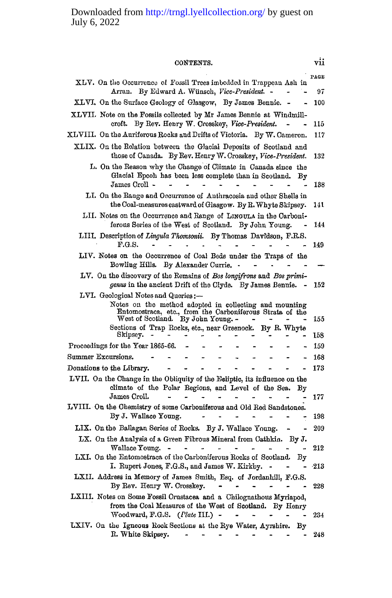**CONTENTS. vii PAGE XLV . On tlie Occurrence of Fossil Tree s imbedded in Trappean As h in Arran. B y Edward A. Wiinsch,** *Vice-President.* **-** *- -* **97 XLVI. On the Surface Geolog y of Glasgow, B y Jame s Bennie . - - 100 XLVII . Not e on the Fossils collected b y Mr Jame s Benni e at Windmillcroft. B y Eev . Henr y W. Crosskey,** *Vice-President. - -* **115 XLVIII . On the Auriferous Rock s and Drifts of Victoria. B y W . Cameron. 117 XLIX . On the Eolation between the Glacial Deposits of Scotland and thos e of Canada. B y Eev . Henr y W . Crosskey,** *Vice-President.* **132**  L. On the Reason why the Change of Climate in Canada since the Glacial Epcoh has been less complete than in Scotland. By  $J_{\text{SMEB}}$  Croll  $\sim$   $\frac{3}{2}$   $\sim$   $\frac{3}{2}$   $\sim$   $\frac{3}{2}$   $\sim$   $\frac{3}{2}$   $\sim$   $\frac{3}{2}$   $\sim$   $\frac{3}{2}$   $\sim$   $\frac{3}{2}$   $\sim$   $\frac{3}{2}$   $\sim$   $\frac{3}{2}$   $\sim$   $\frac{3}{2}$   $\sim$   $\frac{3}{2}$   $\sim$   $\frac{3}{2}$   $\sim$   $\frac{3}{2}$   $\sim$   $\frac$ **L I. On the Eang e and Occurrence of Anthracosia and other Shells in t he Coal-measures eastward of Glasgow. B y E . Whyt e Skipsey. Il l**  LII. Notes on the Occurrence and Range of LINGULA in the Carboni**ferous Series of the West of Scotland. B y Joh n Young . - 144 LIII.** Description of *Lingula Thomsonii.* By Thomas Davidson, F.R.S. **F.G.S. B. F.G.S . - 149**  LIV. Notes on the Occurrence of Coal Beds under the Traps of the **Bowling Hills.** By Alexander Currie. - - - -**L V . On the discovery of the Eemains of** *Bos longifrons* **and** *Bos primigenus* **in the ancient Drift of the Clyde. B y Jame s Bennie . - 152 LVI. Geological Note s and Queries:—**  Notes on the method adopted in collecting and mounting **Entomostraca, etc., from the Carboniferous Strata of the West of Scotland. B y Joh n Young . - - - - - 155**  Sections of Trap Rocks, etc., near Greenock. By R. Whyte **Skipsey. - - - - - - - - 158 Proceedings for the Year 1865-66.** - - - - - - - - 159 **Summe r Excursions. - - - - - - - - - - 168 Donations to the Library. ------ - - 173**  LVII. On the Change in the Obliquity of the Ecliptic, its influence on the climate of the Polar Regions, and Level of the Sea. By **James Croll. . . . . . . . . . 177 LVIH . On the Chemistry of some Carboniferous and Old Ee d Sandstones. B y J . Wallac e Young . - 198 LIX . On the Ballagan Series of Eocks. B y J. Wallac e Young . - - 209**  LX. On the Analysis of a Green Fibrous Mineral from Cathkin. By J. **Wallace Young. - - - - - - - - 212** LXI. On the Entomostraca of the Carboniferous Rocks of Scotland. By **I. Euper t Jones, F.G.S. , and Jame s W . Kirkby. - - - -213 LXII. Address in Memor y of Jame s Smith, Esq. of Jordanhill, F.G.S . B y Eev . Henr y W . Crosskey. - 228**  LXIII. Notes on Some Fossil Crustacea and a Chilognathous Myriapod, from the Coal Measures of the West of Scotland. By Henry **Woodward, F.G.S .** *(Plate TIL)* **234 LXIV . On the Igneous Eock Sections at the Ey e Water, Ayrshire . B y E. White Skipsey.** 2248